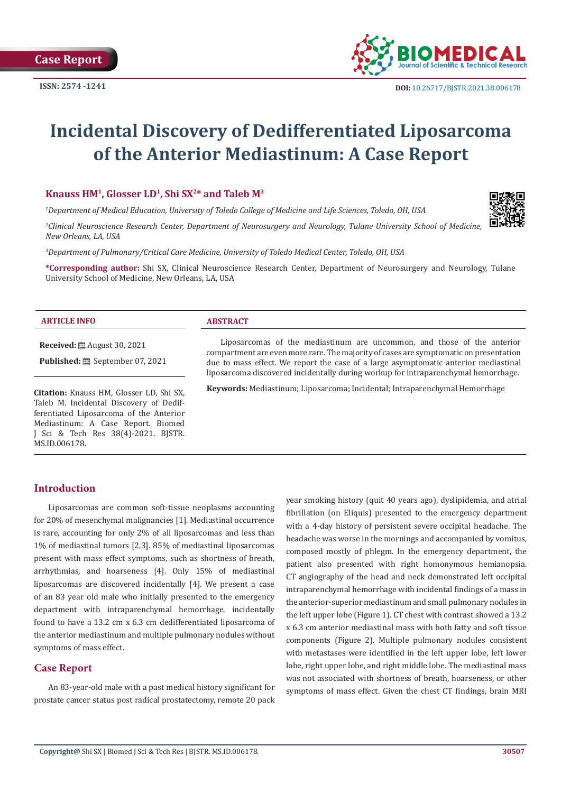

# **Incidental Discovery of Dedifferentiated Liposarcoma of the Anterior Mediastinum: A Case Report**

**Knauss HM1, Glosser LD1, Shi SX2\* and Taleb M3**

*1 Department of Medical Education, University of Toledo College of Medicine and Life Sciences, Toledo, OH, USA*

*2 Clinical Neuroscience Research Center, Department of Neurosurgery and Neurology, Tulane University School of Medicine, New Orleans, LA, USA*

*3 Department of Pulmonary/Critical Care Medicine, University of Toledo Medical Center, Toledo, OH, USA*

**\*Corresponding author:** Shi SX, Clinical Neuroscience Research Center, Department of Neurosurgery and Neurology, Tulane University School of Medicine, New Orleans, LA, USA

#### **ARTICLE INFO ABSTRACT**

**Received:** August 30, 2021

**Published:** September 07, 2021

**Citation:** Knauss HM, Glosser LD, Shi SX, Taleb M. Incidental Discovery of Dedifferentiated Liposarcoma of the Anterior Mediastinum: A Case Report. Biomed J Sci & Tech Res 38(4)-2021. BJSTR. MS.ID.006178.

Liposarcomas of the mediastinum are uncommon, and those of the anterior compartment are even more rare. The majority of cases are symptomatic on presentation due to mass effect. We report the case of a large asymptomatic anterior mediastinal liposarcoma discovered incidentally during workup for intraparenchymal hemorrhage.

**Keywords:** Mediastinum; Liposarcoma; Incidental; Intraparenchymal Hemorrhage

# **Introduction**

Liposarcomas are common soft-tissue neoplasms accounting for 20% of mesenchymal malignancies [1]. Mediastinal occurrence is rare, accounting for only 2% of all liposarcomas and less than 1% of mediastinal tumors [2,3]. 85% of mediastinal liposarcomas present with mass effect symptoms, such as shortness of breath, arrhythmias, and hoarseness [4]. Only 15% of mediastinal liposarcomas are discovered incidentally [4]. We present a case of an 83 year old male who initially presented to the emergency department with intraparenchymal hemorrhage, incidentally found to have a 13.2 cm x 6.3 cm dedifferentiated liposarcoma of the anterior mediastinum and multiple pulmonary nodules without symptoms of mass effect.

# **Case Report**

An 83-year-old male with a past medical history significant for prostate cancer status post radical prostatectomy, remote 20 pack year smoking history (quit 40 years ago), dyslipidemia, and atrial fibrillation (on Eliquis) presented to the emergency department with a 4-day history of persistent severe occipital headache. The headache was worse in the mornings and accompanied by vomitus, composed mostly of phlegm. In the emergency department, the patient also presented with right homonymous hemianopsia. CT angiography of the head and neck demonstrated left occipital intraparenchymal hemorrhage with incidental findings of a mass in the anterior-superior mediastinum and small pulmonary nodules in the left upper lobe (Figure 1). CT chest with contrast showed a 13.2 x 6.3 cm anterior mediastinal mass with both fatty and soft tissue components (Figure 2). Multiple pulmonary nodules consistent with metastases were identified in the left upper lobe, left lower lobe, right upper lobe, and right middle lobe. The mediastinal mass was not associated with shortness of breath, hoarseness, or other symptoms of mass effect. Given the chest CT findings, brain MRI

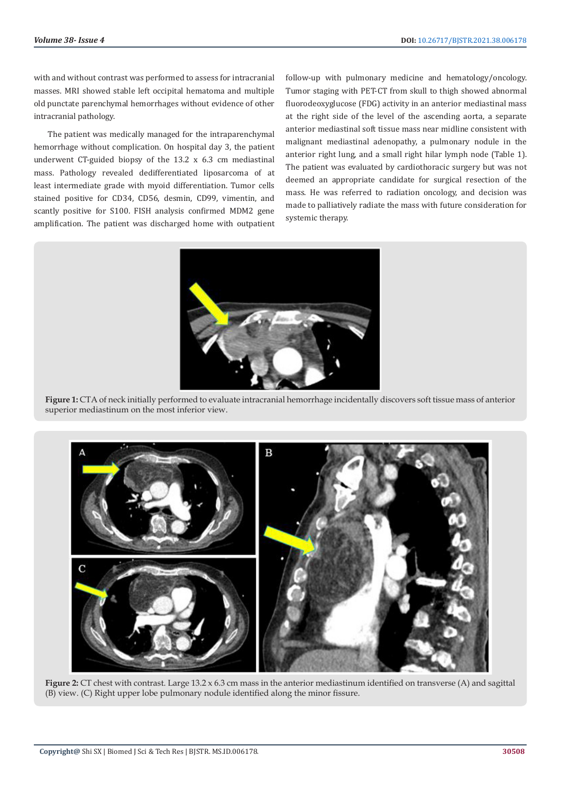with and without contrast was performed to assess for intracranial masses. MRI showed stable left occipital hematoma and multiple old punctate parenchymal hemorrhages without evidence of other intracranial pathology.

The patient was medically managed for the intraparenchymal hemorrhage without complication. On hospital day 3, the patient underwent CT-guided biopsy of the 13.2 x 6.3 cm mediastinal mass. Pathology revealed dedifferentiated liposarcoma of at least intermediate grade with myoid differentiation. Tumor cells stained positive for CD34, CD56, desmin, CD99, vimentin, and scantly positive for S100. FISH analysis confirmed MDM2 gene amplification. The patient was discharged home with outpatient follow-up with pulmonary medicine and hematology/oncology. Tumor staging with PET-CT from skull to thigh showed abnormal fluorodeoxyglucose (FDG) activity in an anterior mediastinal mass at the right side of the level of the ascending aorta, a separate anterior mediastinal soft tissue mass near midline consistent with malignant mediastinal adenopathy, a pulmonary nodule in the anterior right lung, and a small right hilar lymph node (Table 1). The patient was evaluated by cardiothoracic surgery but was not deemed an appropriate candidate for surgical resection of the mass. He was referred to radiation oncology, and decision was made to palliatively radiate the mass with future consideration for systemic therapy.



**Figure 1:** CTA of neck initially performed to evaluate intracranial hemorrhage incidentally discovers soft tissue mass of anterior superior mediastinum on the most inferior view.



**Figure 2:** CT chest with contrast. Large 13.2 x 6.3 cm mass in the anterior mediastinum identified on transverse (A) and sagittal (B) view. (C) Right upper lobe pulmonary nodule identified along the minor fissure.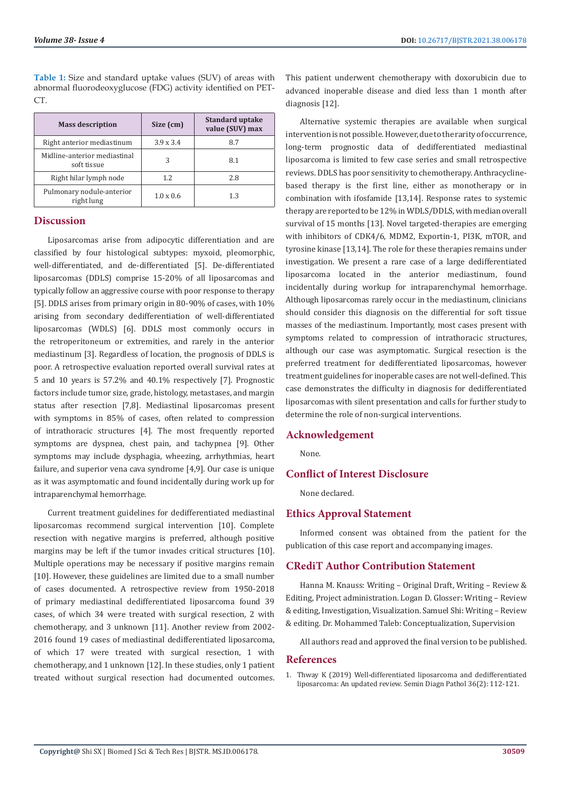**Table 1:** Size and standard uptake values (SUV) of areas with abnormal fluorodeoxyglucose (FDG) activity identified on PET-CT.

| <b>Mass description</b>                     | Size (cm)        | <b>Standard uptake</b><br>value (SUV) max |
|---------------------------------------------|------------------|-------------------------------------------|
| Right anterior mediastinum                  | $3.9 \times 3.4$ | 8.7                                       |
| Midline-anterior mediastinal<br>soft tissue | 3                | 8.1                                       |
| Right hilar lymph node                      | 1.2              | 2.8                                       |
| Pulmonary nodule-anterior<br>right lung     | $1.0 \times 0.6$ | 1.3                                       |

# **Discussion**

Liposarcomas arise from adipocytic differentiation and are classified by four histological subtypes: myxoid, pleomorphic, well-differentiated, and de-differentiated [5]. De-differentiated liposarcomas (DDLS) comprise 15-20% of all liposarcomas and typically follow an aggressive course with poor response to therapy [5]. DDLS arises from primary origin in 80-90% of cases, with 10% arising from secondary dedifferentiation of well-differentiated liposarcomas (WDLS) [6]. DDLS most commonly occurs in the retroperitoneum or extremities, and rarely in the anterior mediastinum [3]. Regardless of location, the prognosis of DDLS is poor. A retrospective evaluation reported overall survival rates at 5 and 10 years is 57.2% and 40.1% respectively [7]. Prognostic factors include tumor size, grade, histology, metastases, and margin status after resection [7,8]. Mediastinal liposarcomas present with symptoms in 85% of cases, often related to compression of intrathoracic structures [4]. The most frequently reported symptoms are dyspnea, chest pain, and tachypnea [9]. Other symptoms may include dysphagia, wheezing, arrhythmias, heart failure, and superior vena cava syndrome [4,9]. Our case is unique as it was asymptomatic and found incidentally during work up for intraparenchymal hemorrhage.

Current treatment guidelines for dedifferentiated mediastinal liposarcomas recommend surgical intervention [10]. Complete resection with negative margins is preferred, although positive margins may be left if the tumor invades critical structures [10]. Multiple operations may be necessary if positive margins remain [10]. However, these guidelines are limited due to a small number of cases documented. A retrospective review from 1950-2018 of primary mediastinal dedifferentiated liposarcoma found 39 cases, of which 34 were treated with surgical resection, 2 with chemotherapy, and 3 unknown [11]. Another review from 2002- 2016 found 19 cases of mediastinal dedifferentiated liposarcoma, of which 17 were treated with surgical resection, 1 with chemotherapy, and 1 unknown [12]. In these studies, only 1 patient treated without surgical resection had documented outcomes.

This patient underwent chemotherapy with doxorubicin due to advanced inoperable disease and died less than 1 month after diagnosis [12].

Alternative systemic therapies are available when surgical intervention is not possible. However, due to the rarity of occurrence, long-term prognostic data of dedifferentiated mediastinal liposarcoma is limited to few case series and small retrospective reviews. DDLS has poor sensitivity to chemotherapy. Anthracyclinebased therapy is the first line, either as monotherapy or in combination with ifosfamide [13,14]. Response rates to systemic therapy are reported to be 12% in WDLS/DDLS, with median overall survival of 15 months [13]. Novel targeted-therapies are emerging with inhibitors of CDK4/6, MDM2, Exportin-1, PI3K, mTOR, and tyrosine kinase [13,14]. The role for these therapies remains under investigation. We present a rare case of a large dedifferentiated liposarcoma located in the anterior mediastinum, found incidentally during workup for intraparenchymal hemorrhage. Although liposarcomas rarely occur in the mediastinum, clinicians should consider this diagnosis on the differential for soft tissue masses of the mediastinum. Importantly, most cases present with symptoms related to compression of intrathoracic structures, although our case was asymptomatic. Surgical resection is the preferred treatment for dedifferentiated liposarcomas, however treatment guidelines for inoperable cases are not well-defined. This case demonstrates the difficulty in diagnosis for dedifferentiated liposarcomas with silent presentation and calls for further study to determine the role of non-surgical interventions.

# **Acknowledgement**

None.

# **Conflict of Interest Disclosure**

None declared.

# **Ethics Approval Statement**

Informed consent was obtained from the patient for the publication of this case report and accompanying images.

# **CRediT Author Contribution Statement**

Hanna M. Knauss: Writing – Original Draft, Writing – Review & Editing, Project administration. Logan D. Glosser: Writing – Review & editing, Investigation, Visualization. Samuel Shi: Writing – Review & editing. Dr. Mohammed Taleb: Conceptualization, Supervision

All authors read and approved the final version to be published.

### **References**

1. [Thway K \(2019\) Well-differentiated liposarcoma and dedifferentiated](https://pubmed.ncbi.nlm.nih.gov/30852045/) [liposarcoma: An updated review. Semin Diagn Pathol 36\(2\): 112-121.](https://pubmed.ncbi.nlm.nih.gov/30852045/)